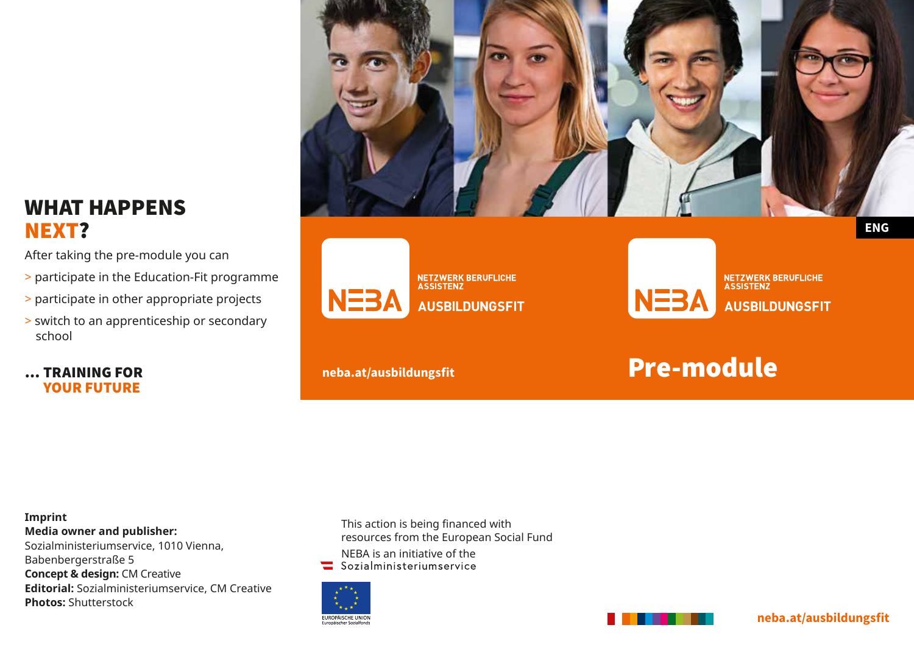## WHAT HAPPENS NEXT?

After taking the pre-module you can

- > participate in the Education-Fit programme
- > participate in other appropriate projects
- > switch to an apprenticeship or secondary school

#### … TRAINING FOR YOUR FUTURE







**NETZWERK BERUFLICHE**<br>ASSISTENZ **AUSBILDUNGSFIT** 

# **neba.at/ausbildungsfit neba.at/ausbildungsfit Pre-module**

**Imprint Media owner and publisher:** Sozialministeriumservice, 1010 Vienna, Babenbergerstraße 5 **Concept & design: CM Creative Editorial:** Sozialministeriumservice, CM Creative **Photos:** Shutterstock

This action is being financed with resources from the European Social Fund

- NEBA is an initiative of the<br>Sozialministeriumservice
- 





**neba.at/ausbildungsfit**